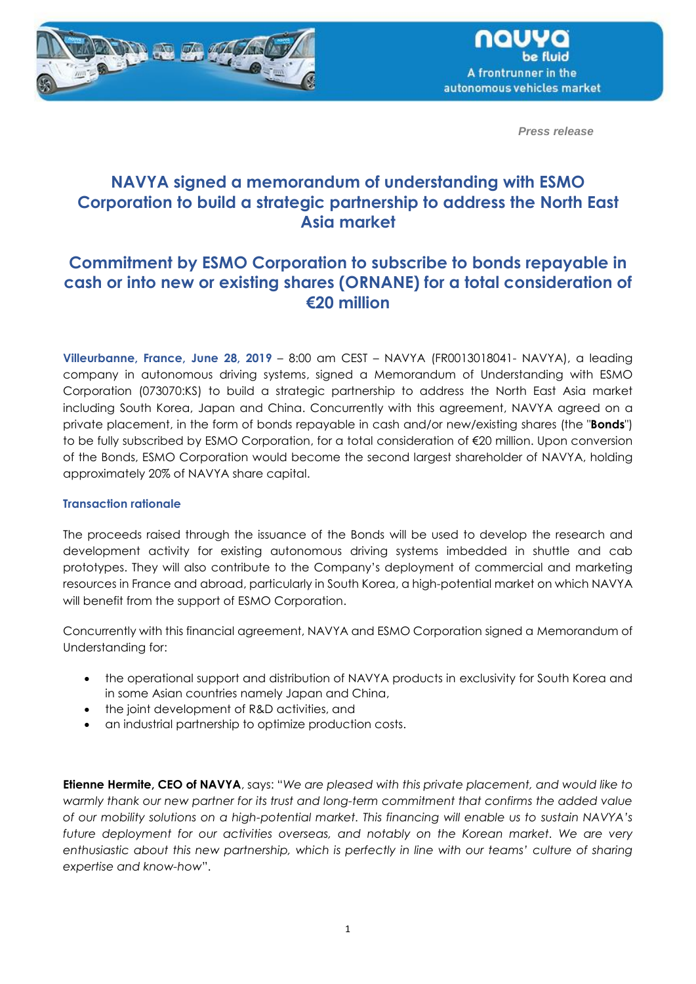



*Press release*

# **NAVYA signed a memorandum of understanding with ESMO Corporation to build a strategic partnership to address the North East Asia market**

# **Commitment by ESMO Corporation to subscribe to bonds repayable in cash or into new or existing shares (ORNANE) for a total consideration of €20 million**

**Villeurbanne, France, June 28, 2019** – 8:00 am CEST – NAVYA (FR0013018041- NAVYA), a leading company in autonomous driving systems, signed a Memorandum of Understanding with ESMO Corporation (073070:KS) to build a strategic partnership to address the North East Asia market including South Korea, Japan and China. Concurrently with this agreement, NAVYA agreed on a private placement, in the form of bonds repayable in cash and/or new/existing shares (the "**Bonds**") to be fully subscribed by ESMO Corporation, for a total consideration of €20 million. Upon conversion of the Bonds, ESMO Corporation would become the second largest shareholder of NAVYA, holding approximately 20% of NAVYA share capital.

### **Transaction rationale**

The proceeds raised through the issuance of the Bonds will be used to develop the research and development activity for existing autonomous driving systems imbedded in shuttle and cab prototypes. They will also contribute to the Company's deployment of commercial and marketing resources in France and abroad, particularly in South Korea, a high-potential market on which NAVYA will benefit from the support of ESMO Corporation.

Concurrently with this financial agreement, NAVYA and ESMO Corporation signed a Memorandum of Understanding for:

- the operational support and distribution of NAVYA products in exclusivity for South Korea and in some Asian countries namely Japan and China,
- the joint development of R&D activities, and
- an industrial partnership to optimize production costs.

**Etienne Hermite, CEO of NAVYA**, says: "*We are pleased with this private placement, and would like to warmly thank our new partner for its trust and long-term commitment that confirms the added value of our mobility solutions on a high-potential market. This financing will enable us to sustain NAVYA's future deployment for our activities overseas, and notably on the Korean market. We are very enthusiastic about this new partnership, which is perfectly in line with our teams' culture of sharing expertise and know-how*".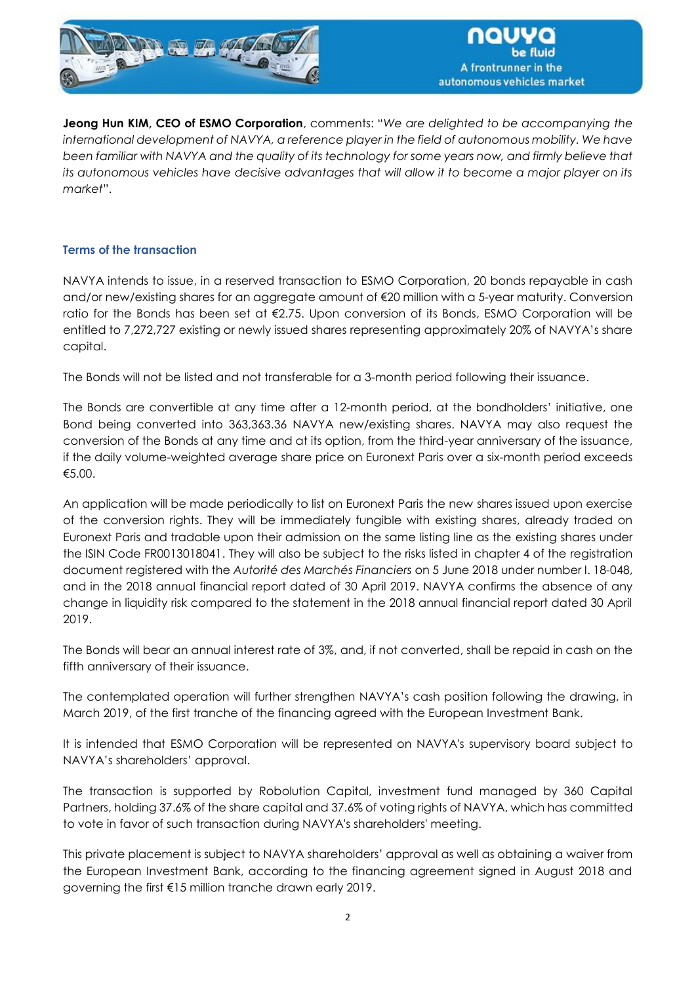

**Jeong Hun KIM, CEO of ESMO Corporation**, comments: "*We are delighted to be accompanying the international development of NAVYA, a reference player in the field of autonomous mobility. We have been familiar with NAVYA and the quality of its technology for some years now, and firmly believe that its autonomous vehicles have decisive advantages that will allow it to become a major player on its market*".

# **Terms of the transaction**

NAVYA intends to issue, in a reserved transaction to ESMO Corporation, 20 bonds repayable in cash and/or new/existing shares for an aggregate amount of €20 million with a 5-year maturity. Conversion ratio for the Bonds has been set at €2.75. Upon conversion of its Bonds, ESMO Corporation will be entitled to 7,272,727 existing or newly issued shares representing approximately 20% of NAVYA's share capital.

The Bonds will not be listed and not transferable for a 3-month period following their issuance.

The Bonds are convertible at any time after a 12-month period, at the bondholders' initiative, one Bond being converted into 363,363.36 NAVYA new/existing shares. NAVYA may also request the conversion of the Bonds at any time and at its option, from the third-year anniversary of the issuance, if the daily volume-weighted average share price on Euronext Paris over a six-month period exceeds €5.00.

An application will be made periodically to list on Euronext Paris the new shares issued upon exercise of the conversion rights. They will be immediately fungible with existing shares, already traded on Euronext Paris and tradable upon their admission on the same listing line as the existing shares under the ISIN Code FR0013018041. They will also be subject to the risks listed in chapter 4 of the registration document registered with the *Autorité des Marchés Financiers* on 5 June 2018 under number I. 18-048, and in the 2018 annual financial report dated of 30 April 2019. NAVYA confirms the absence of any change in liquidity risk compared to the statement in the 2018 annual financial report dated 30 April 2019.

The Bonds will bear an annual interest rate of 3%, and, if not converted, shall be repaid in cash on the fifth anniversary of their issuance.

The contemplated operation will further strengthen NAVYA's cash position following the drawing, in March 2019, of the first tranche of the financing agreed with the European Investment Bank.

It is intended that ESMO Corporation will be represented on NAVYA's supervisory board subject to NAVYA's shareholders' approval.

The transaction is supported by Robolution Capital, investment fund managed by 360 Capital Partners, holding 37.6% of the share capital and 37.6% of voting rights of NAVYA, which has committed to vote in favor of such transaction during NAVYA's shareholders' meeting.

This private placement is subject to NAVYA shareholders' approval as well as obtaining a waiver from the European Investment Bank, according to the financing agreement signed in August 2018 and governing the first €15 million tranche drawn early 2019.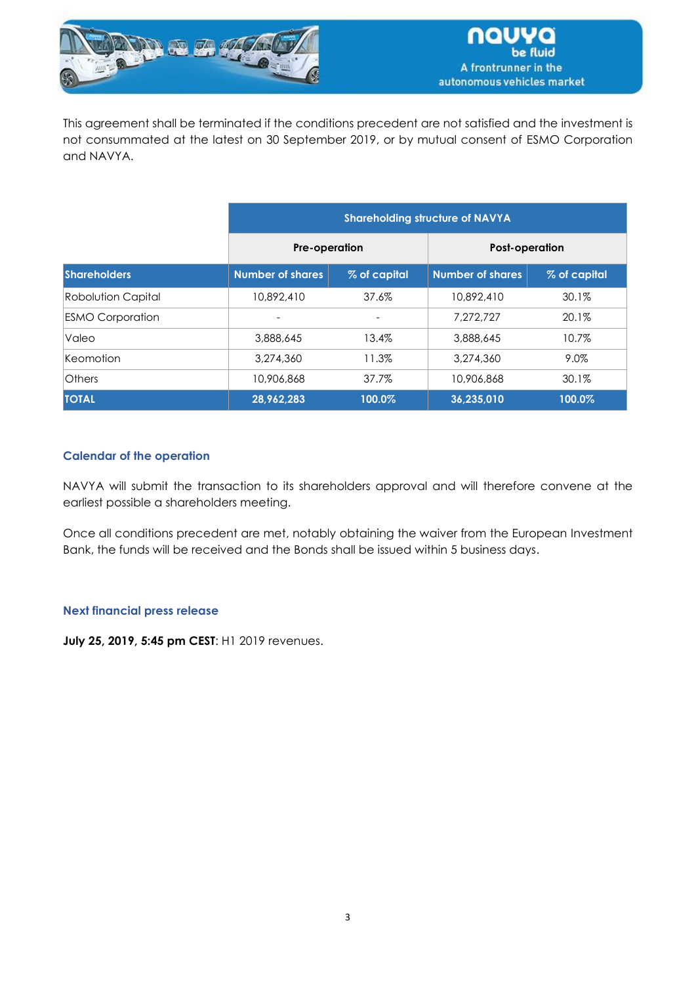

This agreement shall be terminated if the conditions precedent are not satisfied and the investment is not consummated at the latest on 30 September 2019, or by mutual consent of ESMO Corporation and NAVYA.

|                           | <b>Shareholding structure of NAVYA</b> |              |                         |              |
|---------------------------|----------------------------------------|--------------|-------------------------|--------------|
|                           | <b>Pre-operation</b>                   |              | <b>Post-operation</b>   |              |
| <b>Shareholders</b>       | <b>Number of shares</b>                | % of capital | <b>Number of shares</b> | % of capital |
| <b>Robolution Capital</b> | 10.892.410                             | 37.6%        | 10,892,410              | 30.1%        |
| <b>ESMO Corporation</b>   |                                        |              | 7.272.727               | 20.1%        |
| Valeo                     | 3,888,645                              | 13.4%        | 3,888,645               | 10.7%        |
| Keomotion                 | 3,274,360                              | 11.3%        | 3,274,360               | 9.0%         |
| <b>Others</b>             | 10,906,868                             | 37.7%        | 10,906,868              | 30.1%        |
| <b>TOTAL</b>              | 28,962,283                             | 100.0%       | 36,235,010              | 100.0%       |

## **Calendar of the operation**

NAVYA will submit the transaction to its shareholders approval and will therefore convene at the earliest possible a shareholders meeting.

Once all conditions precedent are met, notably obtaining the waiver from the European Investment Bank, the funds will be received and the Bonds shall be issued within 5 business days.

### **Next financial press release**

**July 25, 2019, 5:45 pm CEST**: H1 2019 revenues.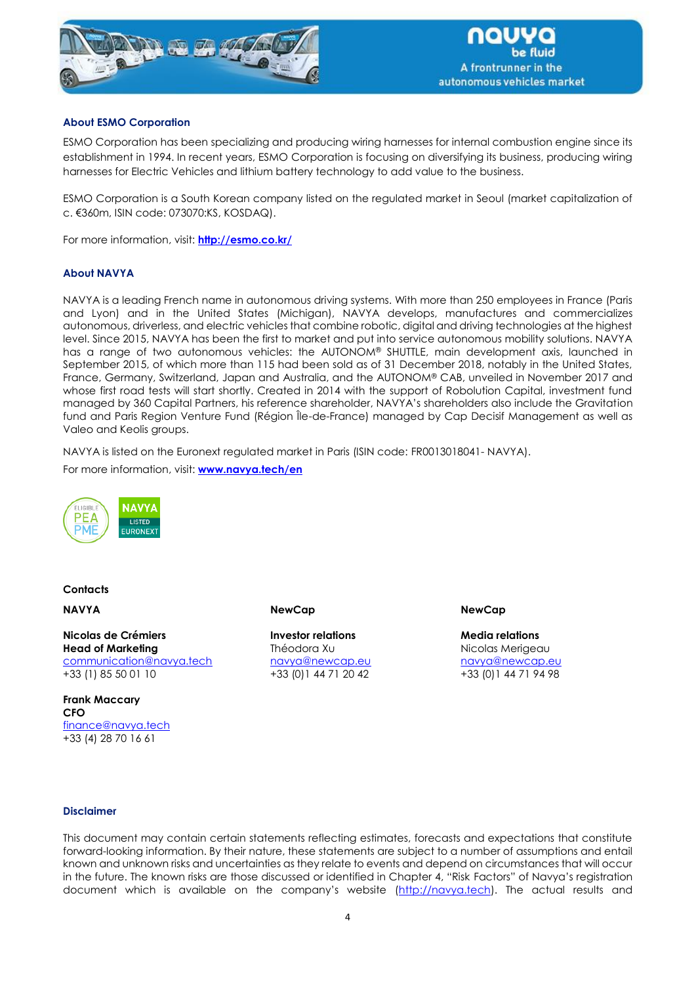

#### **About ESMO Corporation**

ESMO Corporation has been specializing and producing wiring harnesses for internal combustion engine since its establishment in 1994. In recent years, ESMO Corporation is focusing on diversifying its business, producing wiring harnesses for Electric Vehicles and lithium battery technology to add value to the business.

ESMO Corporation is a South Korean company listed on the regulated market in Seoul (market capitalization of c. €360m, ISIN code: 073070:KS, KOSDAQ).

For more information, visit: **<http://esmo.co.kr/>**

#### **About NAVYA**

NAVYA is a leading French name in autonomous driving systems. With more than 250 employees in France (Paris and Lyon) and in the United States (Michigan), NAVYA develops, manufactures and commercializes autonomous, driverless, and electric vehicles that combine robotic, digital and driving technologies at the highest level. Since 2015, NAVYA has been the first to market and put into service autonomous mobility solutions. NAVYA has a range of two autonomous vehicles: the AUTONOM® SHUTTLE, main development axis, launched in September 2015, of which more than 115 had been sold as of 31 December 2018, notably in the United States, France, Germany, Switzerland, Japan and Australia, and the AUTONOM® CAB, unveiled in November 2017 and whose first road tests will start shortly. Created in 2014 with the support of Robolution Capital, investment fund managed by 360 Capital Partners, his reference shareholder, NAVYA's shareholders also include the Gravitation fund and Paris Region Venture Fund (Région Île-de-France) managed by Cap Decisif Management as well as Valeo and Keolis groups.

NAVYA is listed on the Euronext regulated market in Paris (ISIN code: FR0013018041- NAVYA).

For more information, visit: **[www.navya.tech/en](http://www.navya.tech/en)**



#### **Contacts**

**NAVYA**

**Nicolas de Crémiers Head of Marketing** [communication@navya.tech](mailto:communication@navya.tech) +33 (1) 85 50 01 10

**Frank Maccary CFO** [finance@navya.tech](mailto:finance@navya.tech) +33 (4) 28 70 16 61

**NewCap**

**Investor relations** Théodora Xu [navya@newcap.eu](mailto:navya@newcap.eu) +33 (0)1 44 71 20 42

**NewCap**

**Media relations** Nicolas Merigeau [navya@newcap.eu](mailto:navya@newcap.eu) +33 (0)1 44 71 94 98

#### **Disclaimer**

This document may contain certain statements reflecting estimates, forecasts and expectations that constitute forward-looking information. By their nature, these statements are subject to a number of assumptions and entail known and unknown risks and uncertainties as they relate to events and depend on circumstances that will occur in the future. The known risks are those discussed or identified in Chapter 4, "Risk Factors" of Navya's registration document which is available on the company's website (http://navya.tech). The actual results and